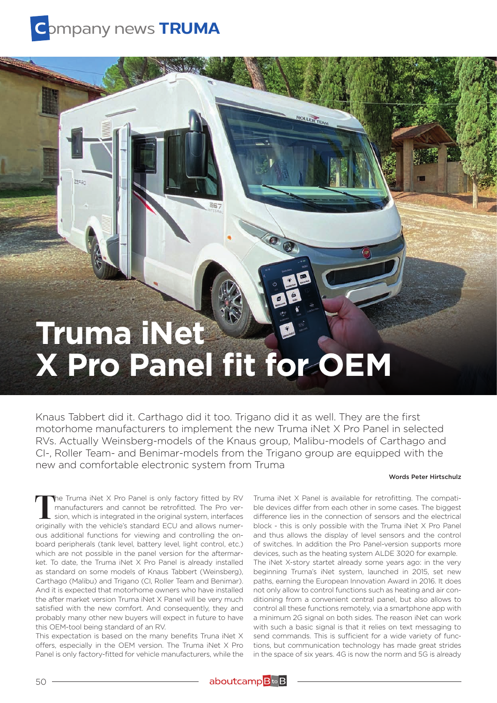

## **Truma iNet X Pro Panel fit for OEM**

Knaus Tabbert did it. Carthago did it too. Trigano did it as well. They are the first motorhome manufacturers to implement the new Truma iNet X Pro Panel in selected RVs. Actually Weinsberg-models of the Knaus group, Malibu-models of Carthago and CI-, Roller Team- and Benimar-models from the Trigano group are equipped with the new and comfortable electronic system from Truma

ROLLER TEAM

## Words Peter Hirtschulz

**T**he Truma iNet X Pro Panel is only factory fitted by RV manufacturers and cannot be retrofitted. The Pro version, which is integrated in the original system, interfaces originally with the vehicle's standard ECU and allows numerous additional functions for viewing and controlling the onboard peripherals (tank level, battery level, light control, etc.) which are not possible in the panel version for the aftermarket. To date, the Truma iNet X Pro Panel is already installed as standard on some models of Knaus Tabbert (Weinsberg), Carthago (Malibu) and Trigano (CI, Roller Team and Benimar). And it is expected that motorhome owners who have installed the after market version Truma iNet X Panel will be very much satisfied with the new comfort. And consequently, they and probably many other new buyers will expect in future to have this OEM-tool being standard of an RV.

This expectation is based on the many benefits Truna iNet X offers, especially in the OEM version. The Truma iNet X Pro Panel is only factory-fitted for vehicle manufacturers, while the

Truma iNet X Panel is available for retrofitting. The compatible devices differ from each other in some cases. The biggest difference lies in the connection of sensors and the electrical block - this is only possible with the Truma iNet X Pro Panel and thus allows the display of level sensors and the control of switches. In addition the Pro Panel-version supports more devices, such as the heating system ALDE 3020 for example. The iNet X-story startet already some years ago: in the very beginning Truma's iNet system, launched in 2015, set new paths, earning the European Innovation Award in 2016. It does not only allow to control functions such as heating and air conditioning from a convenient central panel, but also allows to control all these functions remotely, via a smartphone app with a minimum 2G signal on both sides. The reason iNet can work with such a basic signal is that it relies on text messaging to send commands. This is sufficient for a wide variety of functions, but communication technology has made great strides in the space of six years. 4G is now the norm and 5G is already